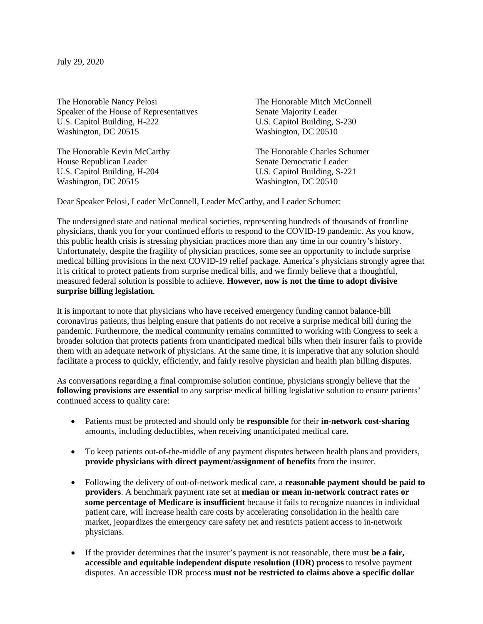July 29, 2020

The Honorable Nancy Pelosi The Honorable Mitch McConnell Speaker of the House of Representatives Senate Majority Leader U.S. Capitol Building, H-222 U.S. Capitol Building, S-230 Washington, DC 20515 Washington, DC 20510

House Republican Leader Senate Democratic Leader U.S. Capitol Building, H-204 U.S. Capitol Building, S-221 Washington, DC 20515 Washington, DC 20510

The Honorable Kevin McCarthy The Honorable Charles Schumer

Dear Speaker Pelosi, Leader McConnell, Leader McCarthy, and Leader Schumer:

The undersigned state and national medical societies, representing hundreds of thousands of frontline physicians, thank you for your continued efforts to respond to the COVID-19 pandemic. As you know, this public health crisis is stressing physician practices more than any time in our country's history. Unfortunately, despite the fragility of physician practices, some see an opportunity to include surprise medical billing provisions in the next COVID-19 relief package. America's physicians strongly agree that it is critical to protect patients from surprise medical bills, and we firmly believe that a thoughtful, measured federal solution is possible to achieve. **However, now is not the time to adopt divisive surprise billing legislation**.

It is important to note that physicians who have received emergency funding cannot balance-bill coronavirus patients, thus helping ensure that patients do not receive a surprise medical bill during the pandemic. Furthermore, the medical community remains committed to working with Congress to seek a broader solution that protects patients from unanticipated medical bills when their insurer fails to provide them with an adequate network of physicians. At the same time, it is imperative that any solution should facilitate a process to quickly, efficiently, and fairly resolve physician and health plan billing disputes.

As conversations regarding a final compromise solution continue, physicians strongly believe that the **following provisions are essential** to any surprise medical billing legislative solution to ensure patients' continued access to quality care:

- Patients must be protected and should only be **responsible** for their **in-network cost-sharing** amounts, including deductibles, when receiving unanticipated medical care.
- To keep patients out-of-the-middle of any payment disputes between health plans and providers, **provide physicians with direct payment/assignment of benefits** from the insurer.
- Following the delivery of out-of-network medical care, a **reasonable payment should be paid to providers**. A benchmark payment rate set at **median or mean in-network contract rates or some percentage of Medicare is insufficient** because it fails to recognize nuances in individual patient care, will increase health care costs by accelerating consolidation in the health care market, jeopardizes the emergency care safety net and restricts patient access to in-network physicians.
- If the provider determines that the insurer's payment is not reasonable, there must **be a fair, accessible and equitable independent dispute resolution (IDR) process** to resolve payment disputes. An accessible IDR process **must not be restricted to claims above a specific dollar**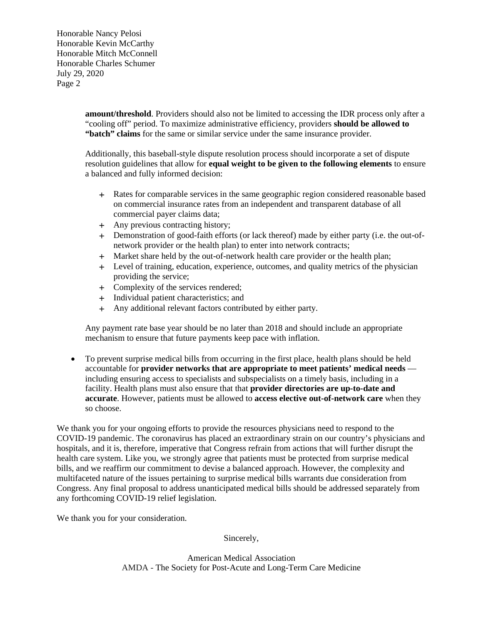> **amount/threshold**. Providers should also not be limited to accessing the IDR process only after a "cooling off" period. To maximize administrative efficiency, providers **should be allowed to "batch" claims** for the same or similar service under the same insurance provider.

> Additionally, this baseball-style dispute resolution process should incorporate a set of dispute resolution guidelines that allow for **equal weight to be given to the following elements** to ensure a balanced and fully informed decision:

- + Rates for comparable services in the same geographic region considered reasonable based on commercial insurance rates from an independent and transparent database of all commercial payer claims data;
- + Any previous contracting history;
- + Demonstration of good-faith efforts (or lack thereof) made by either party (i.e. the out-ofnetwork provider or the health plan) to enter into network contracts;
- + Market share held by the out-of-network health care provider or the health plan;
- + Level of training, education, experience, outcomes, and quality metrics of the physician providing the service;
- + Complexity of the services rendered;
- + Individual patient characteristics; and
- + Any additional relevant factors contributed by either party.

Any payment rate base year should be no later than 2018 and should include an appropriate mechanism to ensure that future payments keep pace with inflation.

• To prevent surprise medical bills from occurring in the first place, health plans should be held accountable for **provider networks that are appropriate to meet patients' medical needs**  including ensuring access to specialists and subspecialists on a timely basis, including in a facility. Health plans must also ensure that that **provider directories are up-to-date and accurate**. However, patients must be allowed to **access elective out-of-network care** when they so choose.

We thank you for your ongoing efforts to provide the resources physicians need to respond to the COVID-19 pandemic. The coronavirus has placed an extraordinary strain on our country's physicians and hospitals, and it is, therefore, imperative that Congress refrain from actions that will further disrupt the health care system. Like you, we strongly agree that patients must be protected from surprise medical bills, and we reaffirm our commitment to devise a balanced approach. However, the complexity and multifaceted nature of the issues pertaining to surprise medical bills warrants due consideration from Congress. Any final proposal to address unanticipated medical bills should be addressed separately from any forthcoming COVID-19 relief legislation.

We thank you for your consideration.

Sincerely,

American Medical Association AMDA - The Society for Post-Acute and Long-Term Care Medicine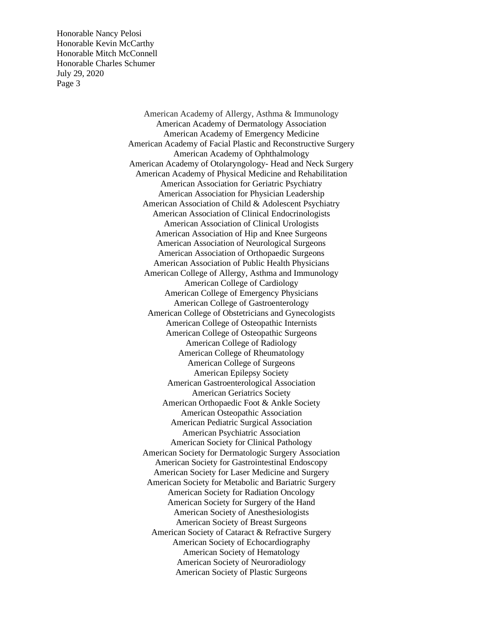> American Academy of Allergy, Asthma & Immunology American Academy of Dermatology Association American Academy of Emergency Medicine American Academy of Facial Plastic and Reconstructive Surgery American Academy of Ophthalmology American Academy of Otolaryngology- Head and Neck Surgery American Academy of Physical Medicine and Rehabilitation American Association for Geriatric Psychiatry American Association for Physician Leadership American Association of Child & Adolescent Psychiatry American Association of Clinical Endocrinologists American Association of Clinical Urologists American Association of Hip and Knee Surgeons American Association of Neurological Surgeons American Association of Orthopaedic Surgeons American Association of Public Health Physicians American College of Allergy, Asthma and Immunology American College of Cardiology American College of Emergency Physicians American College of Gastroenterology American College of Obstetricians and Gynecologists American College of Osteopathic Internists American College of Osteopathic Surgeons American College of Radiology American College of Rheumatology American College of Surgeons American Epilepsy Society American Gastroenterological Association American Geriatrics Society American Orthopaedic Foot & Ankle Society American Osteopathic Association American Pediatric Surgical Association American Psychiatric Association American Society for Clinical Pathology American Society for Dermatologic Surgery Association American Society for Gastrointestinal Endoscopy American Society for Laser Medicine and Surgery American Society for Metabolic and Bariatric Surgery American Society for Radiation Oncology American Society for Surgery of the Hand American Society of Anesthesiologists American Society of Breast Surgeons American Society of Cataract & Refractive Surgery American Society of Echocardiography American Society of Hematology American Society of Neuroradiology American Society of Plastic Surgeons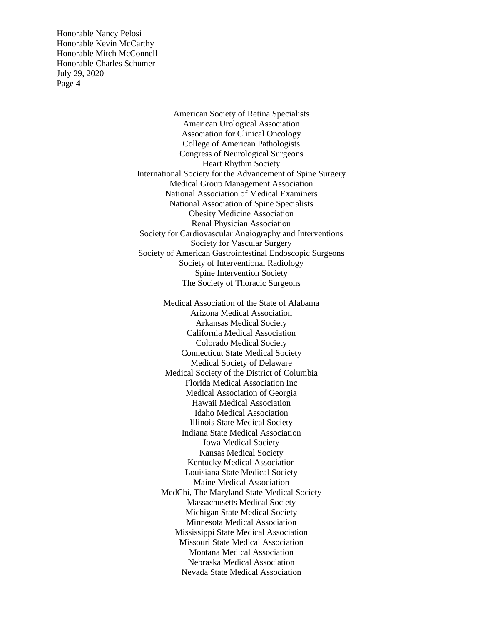> American Society of Retina Specialists American Urological Association Association for Clinical Oncology College of American Pathologists Congress of Neurological Surgeons Heart Rhythm Society International Society for the Advancement of Spine Surgery Medical Group Management Association National Association of Medical Examiners National Association of Spine Specialists Obesity Medicine Association Renal Physician Association Society for Cardiovascular Angiography and Interventions Society for Vascular Surgery Society of American Gastrointestinal Endoscopic Surgeons Society of Interventional Radiology Spine Intervention Society The Society of Thoracic Surgeons

> > Medical Association of the State of Alabama Arizona Medical Association Arkansas Medical Society California Medical Association Colorado Medical Society Connecticut State Medical Society Medical Society of Delaware Medical Society of the District of Columbia Florida Medical Association Inc Medical Association of Georgia Hawaii Medical Association Idaho Medical Association Illinois State Medical Society Indiana State Medical Association Iowa Medical Society Kansas Medical Society Kentucky Medical Association Louisiana State Medical Society Maine Medical Association MedChi, The Maryland State Medical Society Massachusetts Medical Society Michigan State Medical Society Minnesota Medical Association Mississippi State Medical Association Missouri State Medical Association Montana Medical Association Nebraska Medical Association Nevada State Medical Association